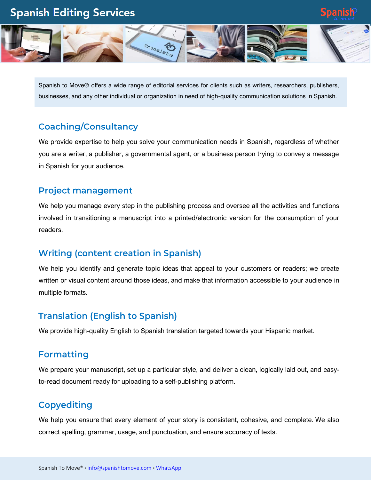# **Spanish Editing Services**





Spanish to Move® offers a wide range of editorial services for clients such as writers, researchers, publishers, businesses, and any other individual or organization in need of high-quality communication solutions in Spanish.

## **Coaching/Consultancy**

We provide expertise to help you solve your communication needs in Spanish, regardless of whether you are a writer, a publisher, a governmental agent, or a business person trying to convey a message in Spanish for your audience.

#### **Project management**

We help you manage every step in the publishing process and oversee all the activities and functions involved in transitioning a manuscript into a printed/electronic version for the consumption of your readers.

## **Writing (content creation in Spanish)**

We help you identify and generate topic ideas that appeal to your customers or readers; we create written or visual content around those ideas, and make that information accessible to your audience in multiple formats.

## **Translation (English to Spanish)**

We provide high-quality English to Spanish translation targeted towards your Hispanic market.

## **Formatting**

We prepare your manuscript, set up a particular style, and deliver a clean, logically laid out, and easyto-read document ready for uploading to a self-publishing platform.

## **Copyediting**

We help you ensure that every element of your story is consistent, cohesive, and complete. We also correct spelling, grammar, usage, and punctuation, and ensure accuracy of texts.